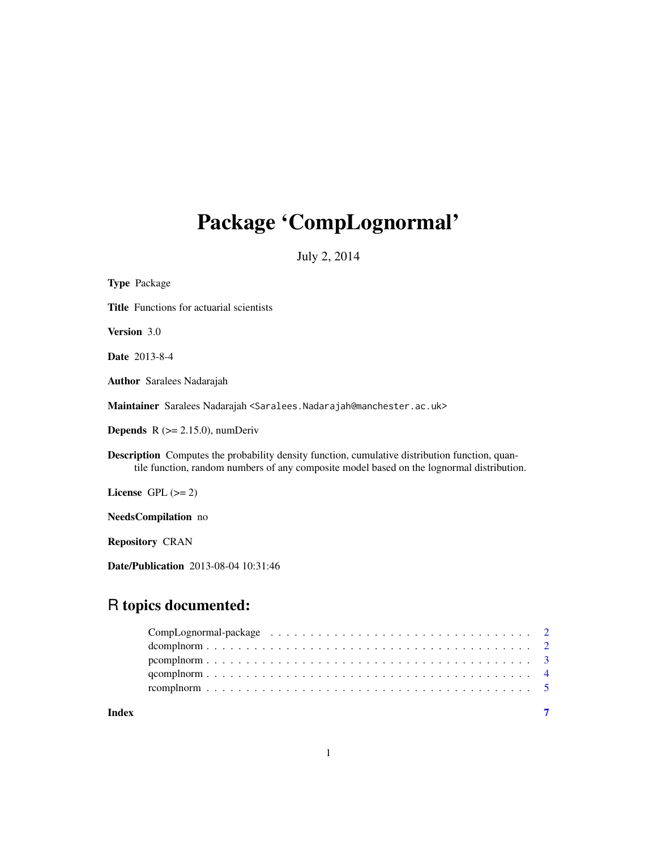# Package 'CompLognormal'

July 2, 2014

| <b>Type Package</b>                                                                                                                                                                                |
|----------------------------------------------------------------------------------------------------------------------------------------------------------------------------------------------------|
| <b>Title</b> Functions for actuarial scientists                                                                                                                                                    |
| Version 3.0                                                                                                                                                                                        |
| <b>Date</b> 2013-8-4                                                                                                                                                                               |
| <b>Author</b> Saralees Nadarajah                                                                                                                                                                   |
| Maintainer Saralees Nadarajah <saralees. nadarajah@manchester.ac.uk=""></saralees.>                                                                                                                |
| <b>Depends</b> $R$ ( $>= 2.15.0$ ), numDeriv                                                                                                                                                       |
| <b>Description</b> Computes the probability density function, cumulative distribution function, quan-<br>tile function, random numbers of any composite model based on the lognormal distribution. |
| License GPL $(>= 2)$                                                                                                                                                                               |
| NeedsCompilation no                                                                                                                                                                                |
| <b>Repository CRAN</b>                                                                                                                                                                             |
| Date/Publication 2013-08-04 10:31:46                                                                                                                                                               |

# R topics documented:

| Index |  |  |  |  |  |  |  |  |  |  |  |  |  |  |
|-------|--|--|--|--|--|--|--|--|--|--|--|--|--|--|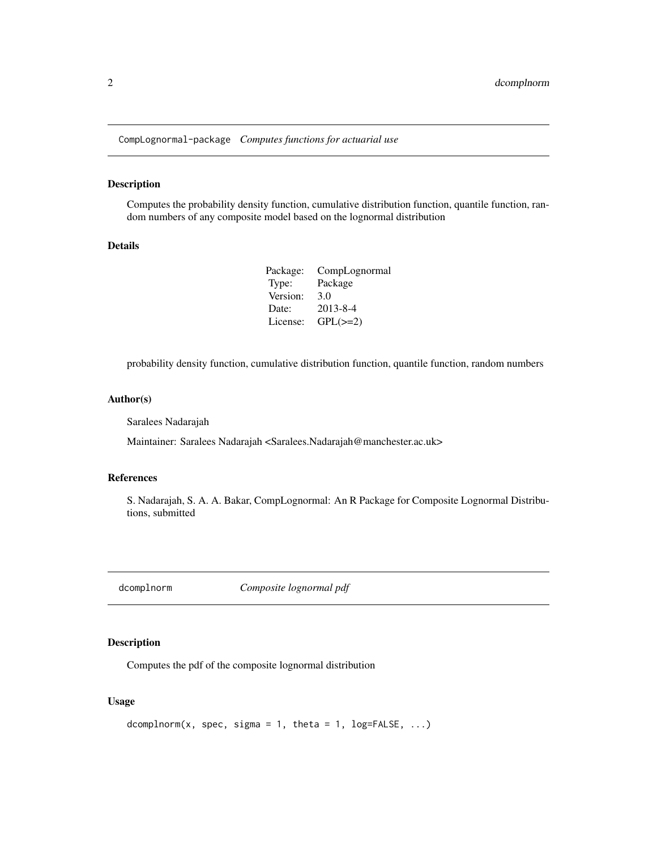<span id="page-1-0"></span>CompLognormal-package *Computes functions for actuarial use*

#### Description

Computes the probability density function, cumulative distribution function, quantile function, random numbers of any composite model based on the lognormal distribution

#### Details

| Package: | CompLognormal  |
|----------|----------------|
| Type:    | Package        |
| Version: | 3.0            |
| Date:    | $2013 - 8 - 4$ |
| License: | $GPL(\geq=2)$  |

probability density function, cumulative distribution function, quantile function, random numbers

#### Author(s)

Saralees Nadarajah

Maintainer: Saralees Nadarajah <Saralees.Nadarajah@manchester.ac.uk>

#### References

S. Nadarajah, S. A. A. Bakar, CompLognormal: An R Package for Composite Lognormal Distributions, submitted

dcomplnorm *Composite lognormal pdf*

### Description

Computes the pdf of the composite lognormal distribution

#### Usage

```
dcomplnorm(x, spec, sigma = 1, theta = 1, log=FALSE, \ldots)
```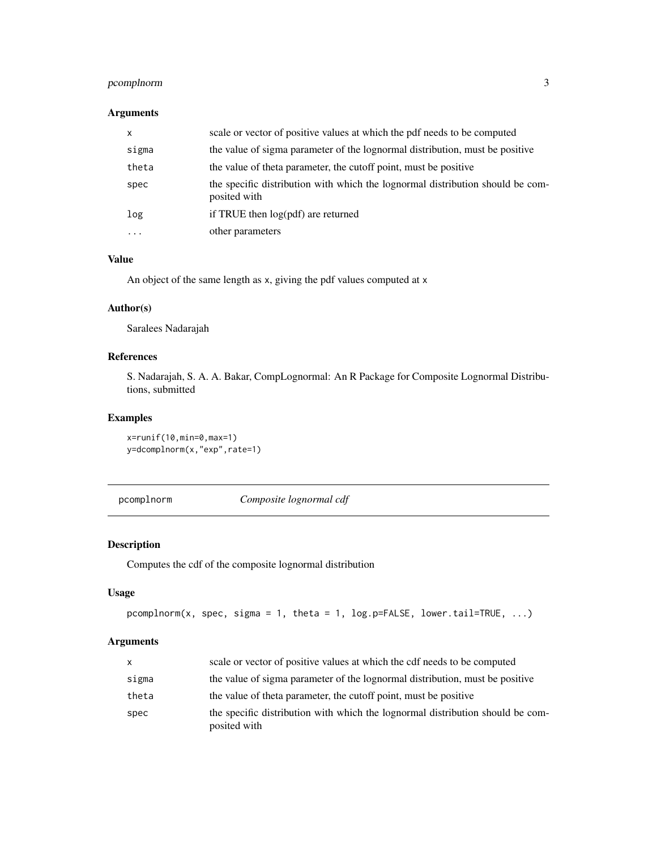### <span id="page-2-0"></span>pcomplnorm 3

# Arguments

| $\mathsf{x}$ | scale or vector of positive values at which the pdf needs to be computed                       |
|--------------|------------------------------------------------------------------------------------------------|
| sigma        | the value of sigma parameter of the lognormal distribution, must be positive                   |
| theta        | the value of theta parameter, the cutoff point, must be positive                               |
| spec         | the specific distribution with which the lognormal distribution should be com-<br>posited with |
| log          | if TRUE then log(pdf) are returned                                                             |
| $\cdots$     | other parameters                                                                               |

# Value

An object of the same length as x, giving the pdf values computed at x

#### Author(s)

Saralees Nadarajah

#### References

S. Nadarajah, S. A. A. Bakar, CompLognormal: An R Package for Composite Lognormal Distributions, submitted

#### Examples

x=runif(10,min=0,max=1) y=dcomplnorm(x,"exp",rate=1)

pcomplnorm *Composite lognormal cdf*

# Description

Computes the cdf of the composite lognormal distribution

## Usage

```
pcomplnorm(x, spec, sigma = 1, theta = 1, log.p=FALSE, lower.tail=TRUE, ...)
```
### Arguments

| X     | scale or vector of positive values at which the cdf needs to be computed                       |
|-------|------------------------------------------------------------------------------------------------|
| sigma | the value of sigma parameter of the lognormal distribution, must be positive                   |
| theta | the value of theta parameter, the cutoff point, must be positive                               |
| spec  | the specific distribution with which the lognormal distribution should be com-<br>posited with |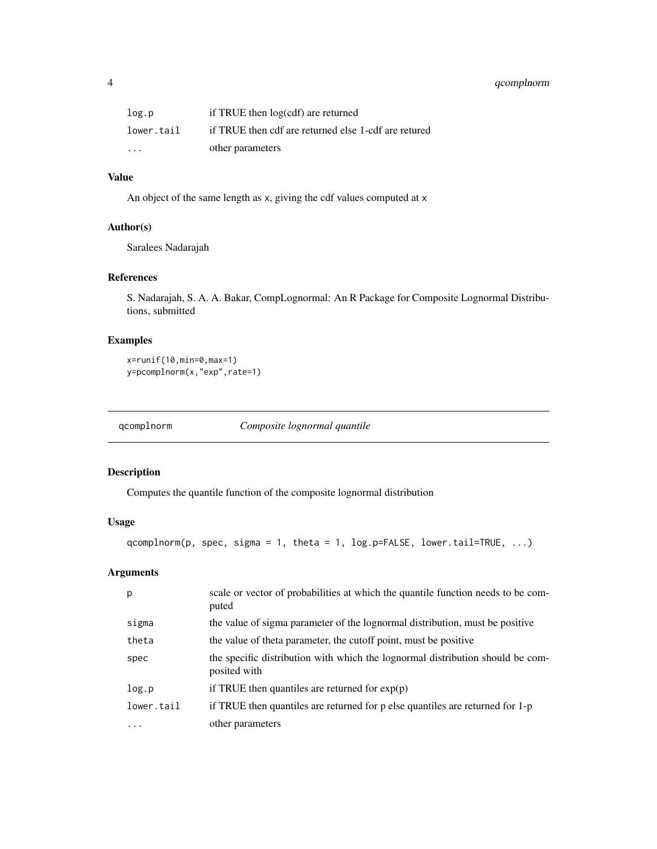### <span id="page-3-0"></span>4 qcomplnorm

| log.p      | if TRUE then log(cdf) are returned                   |
|------------|------------------------------------------------------|
| lower.tail | if TRUE then cdf are returned else 1-cdf are retured |
| $\cdots$   | other parameters                                     |

# Value

An object of the same length as x, giving the cdf values computed at x

### Author(s)

Saralees Nadarajah

#### References

S. Nadarajah, S. A. A. Bakar, CompLognormal: An R Package for Composite Lognormal Distributions, submitted

## Examples

```
x=runif(10,min=0,max=1)
y=pcomplnorm(x,"exp",rate=1)
```
qcomplnorm *Composite lognormal quantile*

#### Description

Computes the quantile function of the composite lognormal distribution

# Usage

```
qcomplnorm(p, spec, sigma = 1, theta = 1, log.p=FALSE, lower.tail=TRUE, ...)
```
# Arguments

| p          | scale or vector of probabilities at which the quantile function needs to be com-<br>puted      |
|------------|------------------------------------------------------------------------------------------------|
| sigma      | the value of sigma parameter of the lognormal distribution, must be positive                   |
| theta      | the value of theta parameter, the cutoff point, must be positive                               |
| spec       | the specific distribution with which the lognormal distribution should be com-<br>posited with |
| log.p      | if TRUE then quantiles are returned for $exp(p)$                                               |
| lower.tail | if TRUE then quantiles are returned for p else quantiles are returned for 1-p                  |
| $\cdots$   | other parameters                                                                               |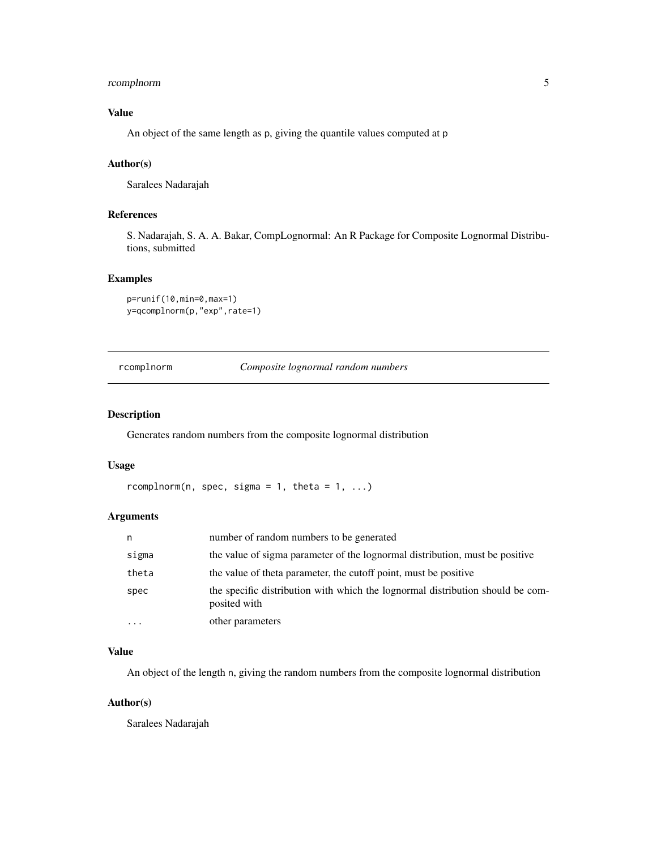### <span id="page-4-0"></span>rcomplnorm 5

# Value

An object of the same length as p, giving the quantile values computed at p

#### Author(s)

Saralees Nadarajah

#### References

S. Nadarajah, S. A. A. Bakar, CompLognormal: An R Package for Composite Lognormal Distributions, submitted

#### Examples

```
p=runif(10,min=0,max=1)
y=qcomplnorm(p,"exp",rate=1)
```
rcomplnorm *Composite lognormal random numbers*

#### Description

Generates random numbers from the composite lognormal distribution

#### Usage

```
rcomplnorm(n, spec, sigma = 1, theta = 1, ...)
```
# Arguments

| n        | number of random numbers to be generated                                                       |
|----------|------------------------------------------------------------------------------------------------|
| sigma    | the value of sigma parameter of the lognormal distribution, must be positive                   |
| theta    | the value of theta parameter, the cutoff point, must be positive                               |
| spec     | the specific distribution with which the lognormal distribution should be com-<br>posited with |
| $\cdots$ | other parameters                                                                               |

#### Value

An object of the length n, giving the random numbers from the composite lognormal distribution

#### Author(s)

Saralees Nadarajah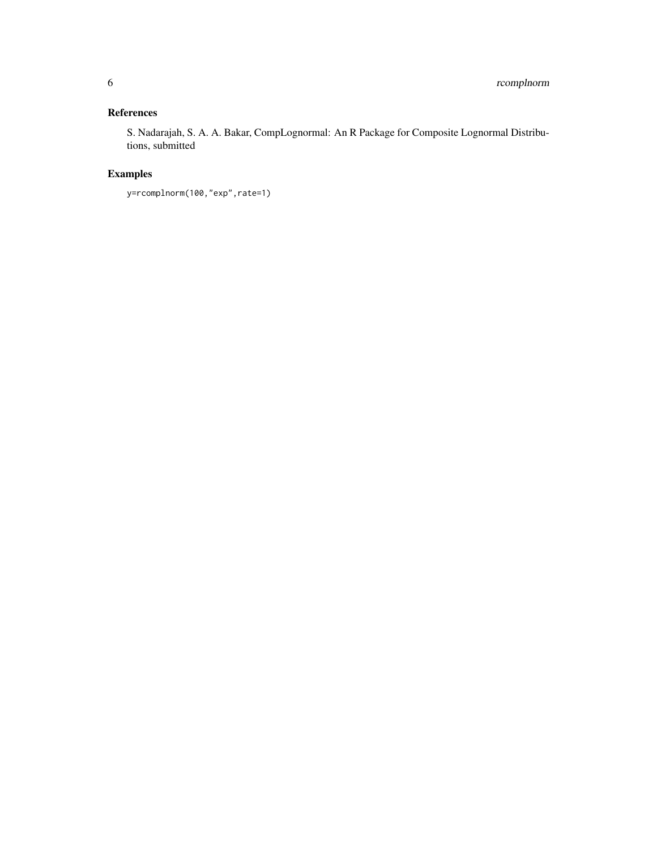# References

S. Nadarajah, S. A. A. Bakar, CompLognormal: An R Package for Composite Lognormal Distributions, submitted

# Examples

y=rcomplnorm(100,"exp",rate=1)